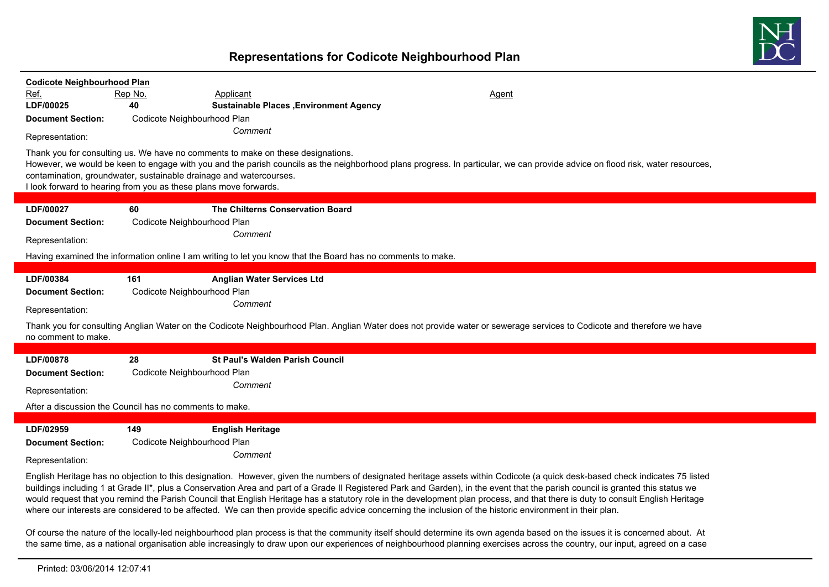## **Representations for Codicote Neighbourhood Plan**



| <b>Codicote Neighbourhood Plan</b><br>Ref.<br>LDF/00025<br><b>Document Section:</b><br>Representation: | Rep No.<br>40 | Applicant<br><b>Sustainable Places , Environment Agency</b><br>Codicote Neighbourhood Plan<br>Comment<br>Thank you for consulting us. We have no comments to make on these designations.<br>contamination, groundwater, sustainable drainage and watercourses.<br>I look forward to hearing from you as these plans move forwards. | Agent<br>However, we would be keen to engage with you and the parish councils as the neighborhood plans progress. In particular, we can provide advice on flood risk, water resources, |  |  |  |  |
|--------------------------------------------------------------------------------------------------------|---------------|------------------------------------------------------------------------------------------------------------------------------------------------------------------------------------------------------------------------------------------------------------------------------------------------------------------------------------|----------------------------------------------------------------------------------------------------------------------------------------------------------------------------------------|--|--|--|--|
| LDF/00027                                                                                              | 60            | The Chilterns Conservation Board                                                                                                                                                                                                                                                                                                   |                                                                                                                                                                                        |  |  |  |  |
| <b>Document Section:</b>                                                                               |               | Codicote Neighbourhood Plan                                                                                                                                                                                                                                                                                                        |                                                                                                                                                                                        |  |  |  |  |
| Representation:                                                                                        |               | Comment                                                                                                                                                                                                                                                                                                                            |                                                                                                                                                                                        |  |  |  |  |
|                                                                                                        |               |                                                                                                                                                                                                                                                                                                                                    | Having examined the information online I am writing to let you know that the Board has no comments to make.                                                                            |  |  |  |  |
| LDF/00384<br><b>Document Section:</b><br>Representation:                                               | 161           | <b>Anglian Water Services Ltd</b><br>Codicote Neighbourhood Plan<br>Comment                                                                                                                                                                                                                                                        |                                                                                                                                                                                        |  |  |  |  |
| no comment to make.                                                                                    |               |                                                                                                                                                                                                                                                                                                                                    | Thank you for consulting Anglian Water on the Codicote Neighbourhood Plan. Anglian Water does not provide water or sewerage services to Codicote and therefore we have                 |  |  |  |  |
| LDF/00878                                                                                              | 28            | <b>St Paul's Walden Parish Council</b>                                                                                                                                                                                                                                                                                             |                                                                                                                                                                                        |  |  |  |  |
| <b>Document Section:</b>                                                                               |               | Codicote Neighbourhood Plan<br>Comment                                                                                                                                                                                                                                                                                             |                                                                                                                                                                                        |  |  |  |  |
| Representation:                                                                                        |               |                                                                                                                                                                                                                                                                                                                                    |                                                                                                                                                                                        |  |  |  |  |
| After a discussion the Council has no comments to make.                                                |               |                                                                                                                                                                                                                                                                                                                                    |                                                                                                                                                                                        |  |  |  |  |
| LDF/02959<br><b>Document Section:</b><br>Representation:                                               | 149           | <b>English Heritage</b><br>Codicote Neighbourhood Plan<br>Comment                                                                                                                                                                                                                                                                  | English Heritage has no objection to this designation. However, given the numbers of designated heritage assets within Codicote (a quick desk-based check indicates 75 listed          |  |  |  |  |

English Heritage has no objection to this designation. However, given the numbers of designated heritage assets within Codicote (a quick desk-based check indicates 75 listed buildings including 1 at Grade II\*, plus a Conservation Area and part of a Grade II Registered Park and Garden), in the event that the parish council is granted this status we would request that you remind the Parish Council that English Heritage has a statutory role in the development plan process, and that there is duty to consult English Heritage where our interests are considered to be affected. We can then provide specific advice concerning the inclusion of the historic environment in their plan.

Of course the nature of the locally-led neighbourhood plan process is that the community itself should determine its own agenda based on the issues it is concerned about. At the same time, as a national organisation able increasingly to draw upon our experiences of neighbourhood planning exercises across the country, our input, agreed on a case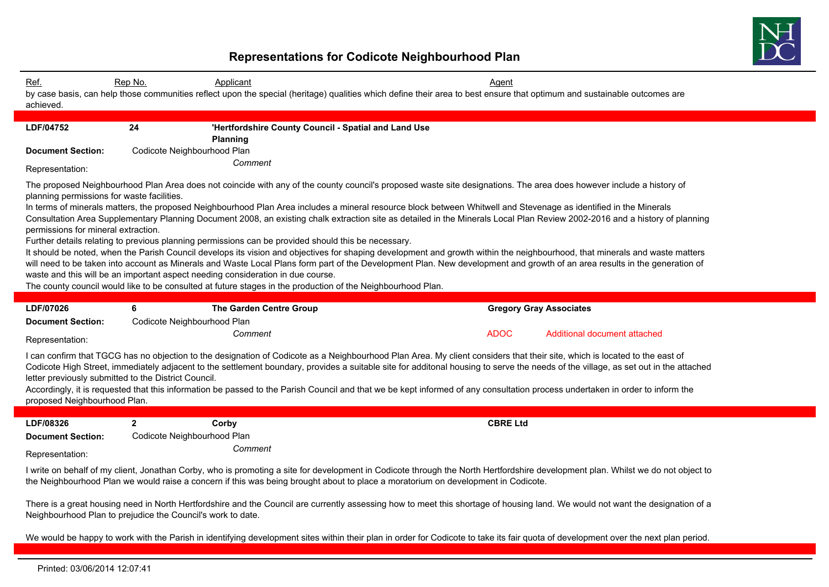

## **Representations for Codicote Neighbourhood Plan**

| Ref.<br>achieved.                                                                                                                                                                                                                                                                                                                                                                                                                                                                                                                                                                                                                                                                                                                                                                                                                                                                                                                                                                                                                                                                                                                                                                                                                                                                   | Rep No.                     | Applicant<br>by case basis, can help those communities reflect upon the special (heritage) qualities which define their area to best ensure that optimum and sustainable outcomes are |  | <b>Agent</b>    |                                |  |  |
|-------------------------------------------------------------------------------------------------------------------------------------------------------------------------------------------------------------------------------------------------------------------------------------------------------------------------------------------------------------------------------------------------------------------------------------------------------------------------------------------------------------------------------------------------------------------------------------------------------------------------------------------------------------------------------------------------------------------------------------------------------------------------------------------------------------------------------------------------------------------------------------------------------------------------------------------------------------------------------------------------------------------------------------------------------------------------------------------------------------------------------------------------------------------------------------------------------------------------------------------------------------------------------------|-----------------------------|---------------------------------------------------------------------------------------------------------------------------------------------------------------------------------------|--|-----------------|--------------------------------|--|--|
| LDF/04752                                                                                                                                                                                                                                                                                                                                                                                                                                                                                                                                                                                                                                                                                                                                                                                                                                                                                                                                                                                                                                                                                                                                                                                                                                                                           | 24                          | 'Hertfordshire County Council - Spatial and Land Use                                                                                                                                  |  |                 |                                |  |  |
|                                                                                                                                                                                                                                                                                                                                                                                                                                                                                                                                                                                                                                                                                                                                                                                                                                                                                                                                                                                                                                                                                                                                                                                                                                                                                     |                             | <b>Planning</b>                                                                                                                                                                       |  |                 |                                |  |  |
| <b>Document Section:</b>                                                                                                                                                                                                                                                                                                                                                                                                                                                                                                                                                                                                                                                                                                                                                                                                                                                                                                                                                                                                                                                                                                                                                                                                                                                            | Codicote Neighbourhood Plan |                                                                                                                                                                                       |  |                 |                                |  |  |
| Representation:                                                                                                                                                                                                                                                                                                                                                                                                                                                                                                                                                                                                                                                                                                                                                                                                                                                                                                                                                                                                                                                                                                                                                                                                                                                                     | Comment                     |                                                                                                                                                                                       |  |                 |                                |  |  |
| The proposed Neighbourhood Plan Area does not coincide with any of the county council's proposed waste site designations. The area does however include a history of<br>planning permissions for waste facilities.<br>In terms of minerals matters, the proposed Neighbourhood Plan Area includes a mineral resource block between Whitwell and Stevenage as identified in the Minerals<br>Consultation Area Supplementary Planning Document 2008, an existing chalk extraction site as detailed in the Minerals Local Plan Review 2002-2016 and a history of planning<br>permissions for mineral extraction.<br>Further details relating to previous planning permissions can be provided should this be necessary.<br>It should be noted, when the Parish Council develops its vision and objectives for shaping development and growth within the neighbourhood, that minerals and waste matters<br>will need to be taken into account as Minerals and Waste Local Plans form part of the Development Plan. New development and growth of an area results in the generation of<br>waste and this will be an important aspect needing consideration in due course.<br>The county council would like to be consulted at future stages in the production of the Neighbourhood Plan. |                             |                                                                                                                                                                                       |  |                 |                                |  |  |
| LDF/07026                                                                                                                                                                                                                                                                                                                                                                                                                                                                                                                                                                                                                                                                                                                                                                                                                                                                                                                                                                                                                                                                                                                                                                                                                                                                           | 6                           | <b>The Garden Centre Group</b>                                                                                                                                                        |  |                 | <b>Gregory Gray Associates</b> |  |  |
| <b>Document Section:</b>                                                                                                                                                                                                                                                                                                                                                                                                                                                                                                                                                                                                                                                                                                                                                                                                                                                                                                                                                                                                                                                                                                                                                                                                                                                            | Codicote Neighbourhood Plan |                                                                                                                                                                                       |  |                 |                                |  |  |
| Representation:                                                                                                                                                                                                                                                                                                                                                                                                                                                                                                                                                                                                                                                                                                                                                                                                                                                                                                                                                                                                                                                                                                                                                                                                                                                                     |                             | Comment                                                                                                                                                                               |  | <b>ADOC</b>     | Additional document attached   |  |  |
| I can confirm that TGCG has no objection to the designation of Codicote as a Neighbourhood Plan Area. My client considers that their site, which is located to the east of<br>Codicote High Street, immediately adjacent to the settlement boundary, provides a suitable site for additonal housing to serve the needs of the village, as set out in the attached<br>letter previously submitted to the District Council.<br>Accordingly, it is requested that this information be passed to the Parish Council and that we be kept informed of any consultation process undertaken in order to inform the<br>proposed Neighbourhood Plan.                                                                                                                                                                                                                                                                                                                                                                                                                                                                                                                                                                                                                                          |                             |                                                                                                                                                                                       |  |                 |                                |  |  |
|                                                                                                                                                                                                                                                                                                                                                                                                                                                                                                                                                                                                                                                                                                                                                                                                                                                                                                                                                                                                                                                                                                                                                                                                                                                                                     |                             |                                                                                                                                                                                       |  |                 |                                |  |  |
| LDF/08326                                                                                                                                                                                                                                                                                                                                                                                                                                                                                                                                                                                                                                                                                                                                                                                                                                                                                                                                                                                                                                                                                                                                                                                                                                                                           | $\mathbf{2}$                | Corby                                                                                                                                                                                 |  | <b>CBRE Ltd</b> |                                |  |  |
| <b>Document Section:</b>                                                                                                                                                                                                                                                                                                                                                                                                                                                                                                                                                                                                                                                                                                                                                                                                                                                                                                                                                                                                                                                                                                                                                                                                                                                            | Codicote Neighbourhood Plan |                                                                                                                                                                                       |  |                 |                                |  |  |
| Representation:                                                                                                                                                                                                                                                                                                                                                                                                                                                                                                                                                                                                                                                                                                                                                                                                                                                                                                                                                                                                                                                                                                                                                                                                                                                                     |                             | Comment                                                                                                                                                                               |  |                 |                                |  |  |
| I write on behalf of my client, Jonathan Corby, who is promoting a site for development in Codicote through the North Hertfordshire development plan. Whilst we do not object to<br>the Neighbourhood Plan we would raise a concern if this was being brought about to place a moratorium on development in Codicote.                                                                                                                                                                                                                                                                                                                                                                                                                                                                                                                                                                                                                                                                                                                                                                                                                                                                                                                                                               |                             |                                                                                                                                                                                       |  |                 |                                |  |  |
| There is a great housing need in North Hertfordshire and the Council are currently assessing how to meet this shortage of housing land. We would not want the designation of a<br>Neighbourhood Plan to prejudice the Council's work to date.                                                                                                                                                                                                                                                                                                                                                                                                                                                                                                                                                                                                                                                                                                                                                                                                                                                                                                                                                                                                                                       |                             |                                                                                                                                                                                       |  |                 |                                |  |  |
| We would be happy to work with the Parish in identifying development sites within their plan in order for Codicote to take its fair quota of development over the next plan period.                                                                                                                                                                                                                                                                                                                                                                                                                                                                                                                                                                                                                                                                                                                                                                                                                                                                                                                                                                                                                                                                                                 |                             |                                                                                                                                                                                       |  |                 |                                |  |  |